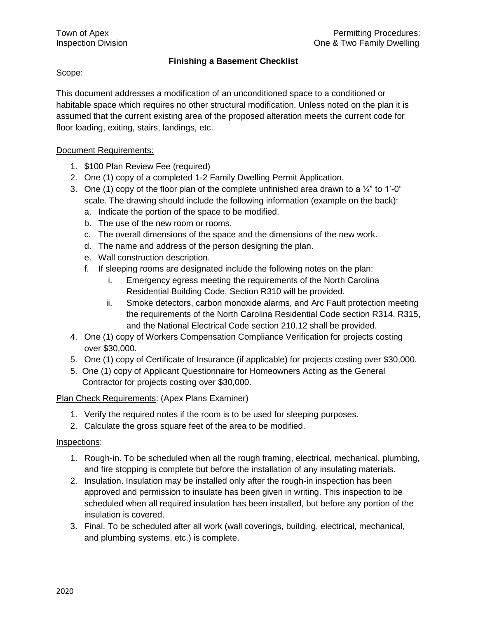# **Finishing a Basement Checklist**

### Scope:

This document addresses a modification of an unconditioned space to a conditioned or habitable space which requires no other structural modification. Unless noted on the plan it is assumed that the current existing area of the proposed alteration meets the current code for floor loading, exiting, stairs, landings, etc.

## Document Requirements:

- 1. \$100 Plan Review Fee (required)
- 2. One (1) copy of a completed 1-2 Family Dwelling Permit Application.
- 3. One (1) copy of the floor plan of the complete unfinished area drawn to a  $\frac{1}{4}$ " to 1'-0" scale. The drawing should include the following information (example on the back):
	- a. Indicate the portion of the space to be modified.
	- b. The use of the new room or rooms.
	- c. The overall dimensions of the space and the dimensions of the new work.
	- d. The name and address of the person designing the plan.
	- e. Wall construction description.
	- f. If sleeping rooms are designated include the following notes on the plan:
		- i. Emergency egress meeting the requirements of the North Carolina Residential Building Code, Section R310 will be provided.
		- ii. Smoke detectors, carbon monoxide alarms, and Arc Fault protection meeting the requirements of the North Carolina Residential Code section R314, R315, and the National Electrical Code section 210.12 shall be provided.
- 4. One (1) copy of Workers Compensation Compliance Verification for projects costing over \$30,000.
- 5. One (1) copy of Certificate of Insurance (if applicable) for projects costing over \$30,000.
- 5. One (1) copy of Applicant Questionnaire for Homeowners Acting as the General Contractor for projects costing over \$30,000.

## Plan Check Requirements: (Apex Plans Examiner)

- 1. Verify the required notes if the room is to be used for sleeping purposes.
- 2. Calculate the gross square feet of the area to be modified.

## Inspections:

- 1. Rough-in. To be scheduled when all the rough framing, electrical, mechanical, plumbing, and fire stopping is complete but before the installation of any insulating materials.
- 2. Insulation. Insulation may be installed only after the rough-in inspection has been approved and permission to insulate has been given in writing. This inspection to be scheduled when all required insulation has been installed, but before any portion of the insulation is covered.
- 3. Final. To be scheduled after all work (wall coverings, building, electrical, mechanical, and plumbing systems, etc.) is complete.